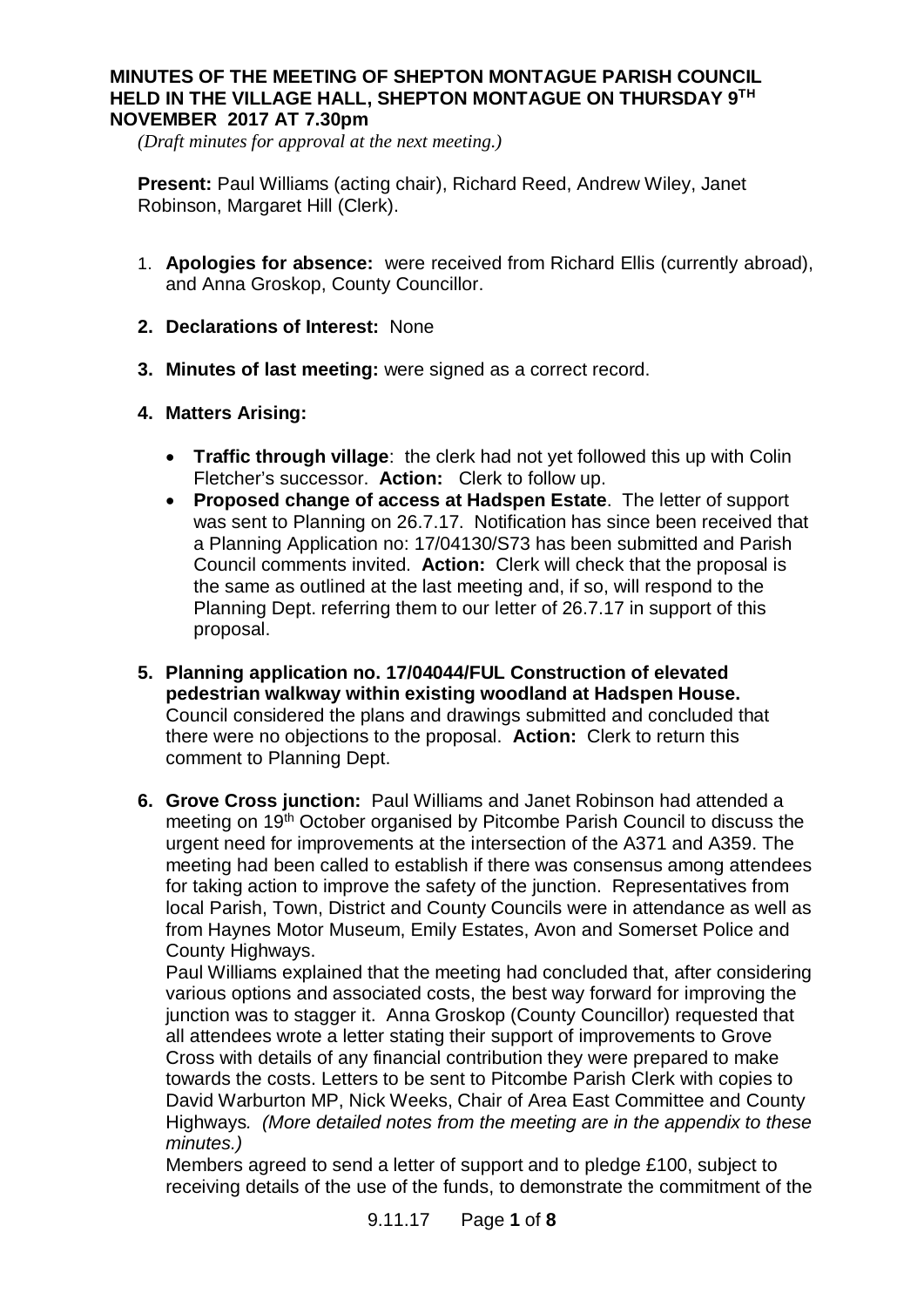## **MINUTES OF THE MEETING OF SHEPTON MONTAGUE PARISH COUNCIL HELD IN THE VILLAGE HALL, SHEPTON MONTAGUE ON THURSDAY 9TH NOVEMBER 2017 AT 7.30pm**

*(Draft minutes for approval at the next meeting.)*

**Present:** Paul Williams (acting chair), Richard Reed, Andrew Wiley, Janet Robinson, Margaret Hill (Clerk).

- 1. **Apologies for absence:** were received from Richard Ellis (currently abroad), and Anna Groskop, County Councillor.
- **2. Declarations of Interest:** None
- **3. Minutes of last meeting:** were signed as a correct record.
- **4. Matters Arising:**
	- · **Traffic through village**: the clerk had not yet followed this up with Colin Fletcher's successor. **Action:** Clerk to follow up.
	- · **Proposed change of access at Hadspen Estate**. The letter of support was sent to Planning on 26.7.17. Notification has since been received that a Planning Application no: 17/04130/S73 has been submitted and Parish Council comments invited. **Action:** Clerk will check that the proposal is the same as outlined at the last meeting and, if so, will respond to the Planning Dept. referring them to our letter of 26.7.17 in support of this proposal.
- **5. Planning application no. 17/04044/FUL Construction of elevated pedestrian walkway within existing woodland at Hadspen House.** Council considered the plans and drawings submitted and concluded that there were no objections to the proposal. **Action:** Clerk to return this comment to Planning Dept.
- **6. Grove Cross junction:** Paul Williams and Janet Robinson had attended a meeting on 19<sup>th</sup> October organised by Pitcombe Parish Council to discuss the urgent need for improvements at the intersection of the A371 and A359. The meeting had been called to establish if there was consensus among attendees for taking action to improve the safety of the junction. Representatives from local Parish, Town, District and County Councils were in attendance as well as from Haynes Motor Museum, Emily Estates, Avon and Somerset Police and County Highways.

Paul Williams explained that the meeting had concluded that, after considering various options and associated costs, the best way forward for improving the junction was to stagger it. Anna Groskop (County Councillor) requested that all attendees wrote a letter stating their support of improvements to Grove Cross with details of any financial contribution they were prepared to make towards the costs. Letters to be sent to Pitcombe Parish Clerk with copies to David Warburton MP, Nick Weeks, Chair of Area East Committee and County Highways*. (More detailed notes from the meeting are in the appendix to these minutes.)*

Members agreed to send a letter of support and to pledge £100, subject to receiving details of the use of the funds, to demonstrate the commitment of the

9.11.17 Page **1** of **8**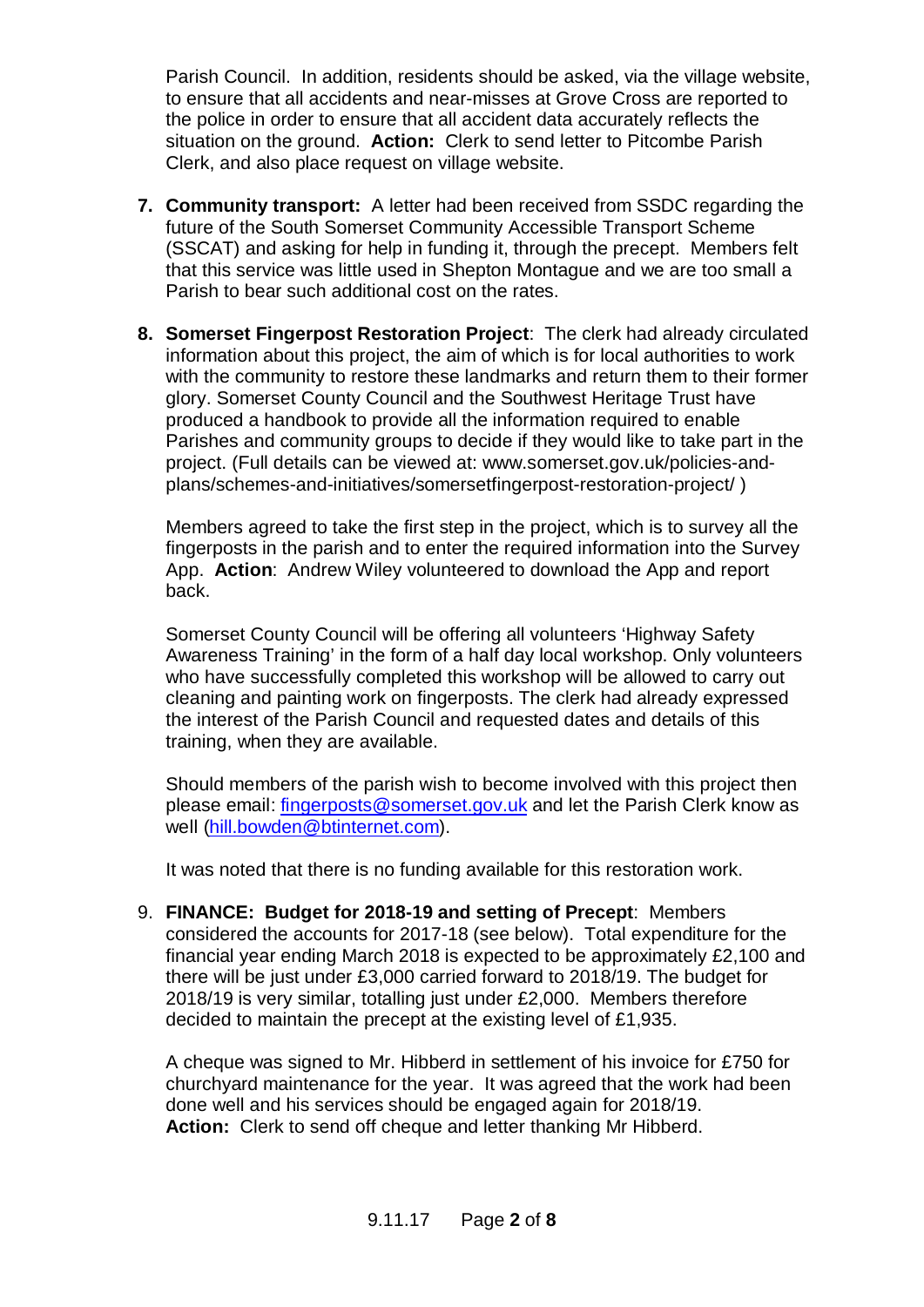Parish Council. In addition, residents should be asked, via the village website, to ensure that all accidents and near-misses at Grove Cross are reported to the police in order to ensure that all accident data accurately reflects the situation on the ground. **Action:** Clerk to send letter to Pitcombe Parish Clerk, and also place request on village website.

- **7. Community transport:** A letter had been received from SSDC regarding the future of the South Somerset Community Accessible Transport Scheme (SSCAT) and asking for help in funding it, through the precept. Members felt that this service was little used in Shepton Montague and we are too small a Parish to bear such additional cost on the rates.
- **8. Somerset Fingerpost Restoration Project**: The clerk had already circulated information about this project, the aim of which is for local authorities to work with the community to restore these landmarks and return them to their former glory. Somerset County Council and the Southwest Heritage Trust have produced a handbook to provide all the information required to enable Parishes and community groups to decide if they would like to take part in the project. (Full details can be viewed at: www.somerset.gov.uk/policies-andplans/schemes-and-initiatives/somersetfingerpost-restoration-project/ )

Members agreed to take the first step in the project, which is to survey all the fingerposts in the parish and to enter the required information into the Survey App. **Action**: Andrew Wiley volunteered to download the App and report back.

Somerset County Council will be offering all volunteers 'Highway Safety Awareness Training' in the form of a half day local workshop. Only volunteers who have successfully completed this workshop will be allowed to carry out cleaning and painting work on fingerposts. The clerk had already expressed the interest of the Parish Council and requested dates and details of this training, when they are available.

Should members of the parish wish to become involved with this project then please email: [fingerposts@somerset.gov.uk](mailto:fingerposts@somerset.gov.uk) and let the Parish Clerk know as well [\(hill.bowden@btinternet.com\)](mailto:hill.bowden@btinternet.com).

It was noted that there is no funding available for this restoration work.

9. **FINANCE: Budget for 2018-19 and setting of Precept**: Members considered the accounts for 2017-18 (see below). Total expenditure for the financial year ending March 2018 is expected to be approximately £2,100 and there will be just under £3,000 carried forward to 2018/19. The budget for 2018/19 is very similar, totalling just under £2,000. Members therefore decided to maintain the precept at the existing level of £1,935.

A cheque was signed to Mr. Hibberd in settlement of his invoice for £750 for churchyard maintenance for the year. It was agreed that the work had been done well and his services should be engaged again for 2018/19. **Action:** Clerk to send off cheque and letter thanking Mr Hibberd.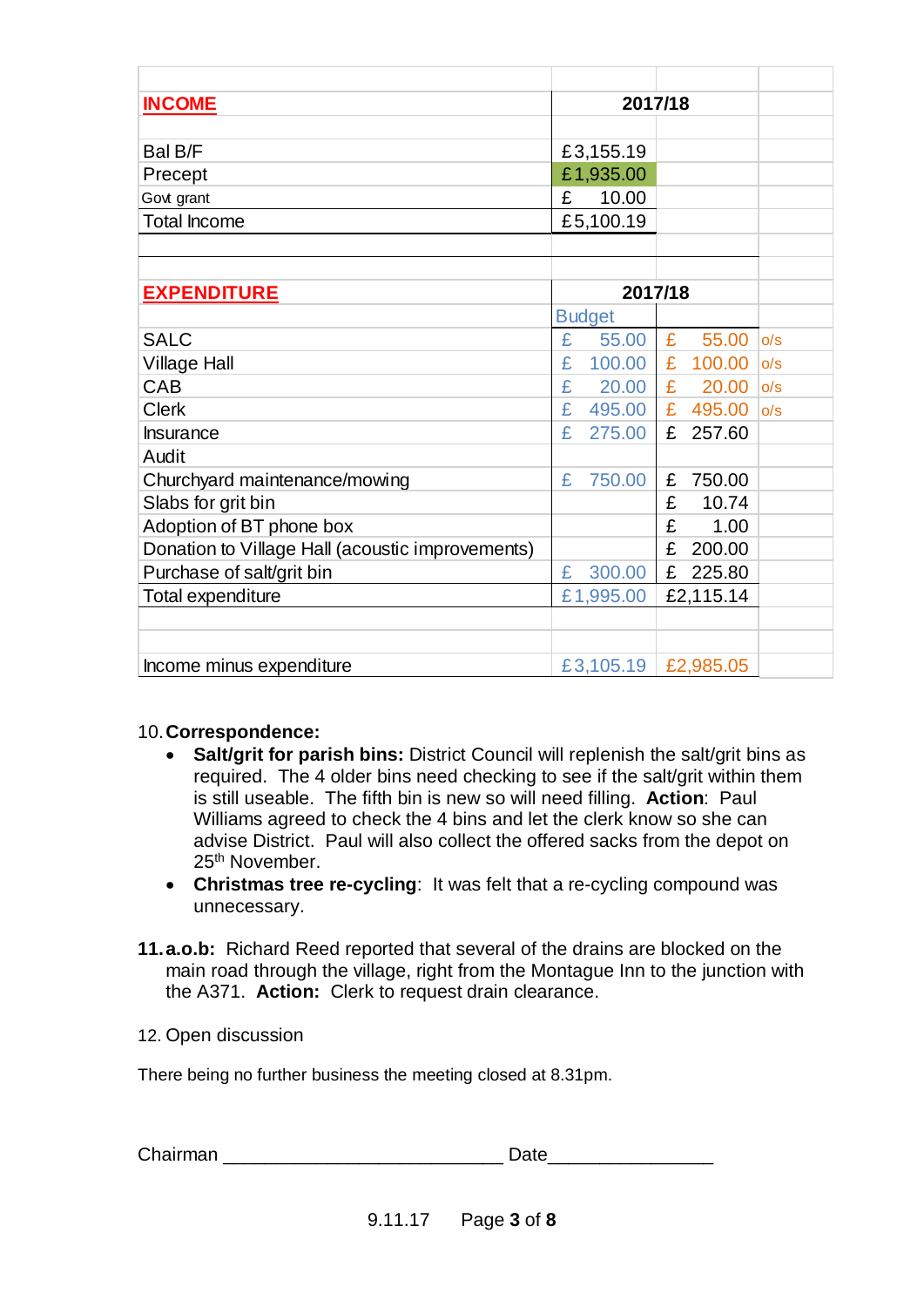| <b>INCOME</b>                                    | 2017/18       |             |     |
|--------------------------------------------------|---------------|-------------|-----|
|                                                  |               |             |     |
| Bal B/F                                          | £3,155.19     |             |     |
| Precept                                          | £1,935.00     |             |     |
| Govt grant                                       | £<br>10.00    |             |     |
| <b>Total Income</b>                              | £5,100.19     |             |     |
|                                                  |               |             |     |
|                                                  |               |             |     |
| <b>EXPENDITURE</b>                               |               | 2017/18     |     |
|                                                  | <b>Budget</b> |             |     |
| <b>SALC</b>                                      | £<br>55.00    | £<br>55.00  | o/s |
| <b>Village Hall</b>                              | £<br>100.00   | £<br>100.00 | o/s |
| CAB                                              | £<br>20.00    | £<br>20.00  | o/s |
| <b>Clerk</b>                                     | £<br>495.00   | £<br>495.00 | o/s |
| <b>Insurance</b>                                 | £<br>275.00   | £<br>257.60 |     |
| Audit                                            |               |             |     |
| Churchyard maintenance/mowing                    | £<br>750.00   | £<br>750.00 |     |
| Slabs for grit bin                               |               | £<br>10.74  |     |
| Adoption of BT phone box                         |               | £<br>1.00   |     |
| Donation to Village Hall (acoustic improvements) |               | £<br>200.00 |     |
| Purchase of salt/grit bin                        | 300.00<br>£   | £<br>225.80 |     |
| <b>Total expenditure</b>                         | £1,995.00     | £2,115.14   |     |
|                                                  |               |             |     |
|                                                  |               |             |     |
| Income minus expenditure                         | £3,105.19     | £2,985.05   |     |

## 10.**Correspondence:**

- · **Salt/grit for parish bins:** District Council will replenish the salt/grit bins as required. The 4 older bins need checking to see if the salt/grit within them is still useable. The fifth bin is new so will need filling. **Action**: Paul Williams agreed to check the 4 bins and let the clerk know so she can advise District. Paul will also collect the offered sacks from the depot on 25th November.
- · **Christmas tree re-cycling**: It was felt that a re-cycling compound was unnecessary.
- **11. a.o.b:** Richard Reed reported that several of the drains are blocked on the main road through the village, right from the Montague Inn to the junction with the A371. **Action:** Clerk to request drain clearance.

## 12. Open discussion

There being no further business the meeting closed at 8.31pm.

Chairman \_\_\_\_\_\_\_\_\_\_\_\_\_\_\_\_\_\_\_\_\_\_\_\_\_\_\_ Date\_\_\_\_\_\_\_\_\_\_\_\_\_\_\_\_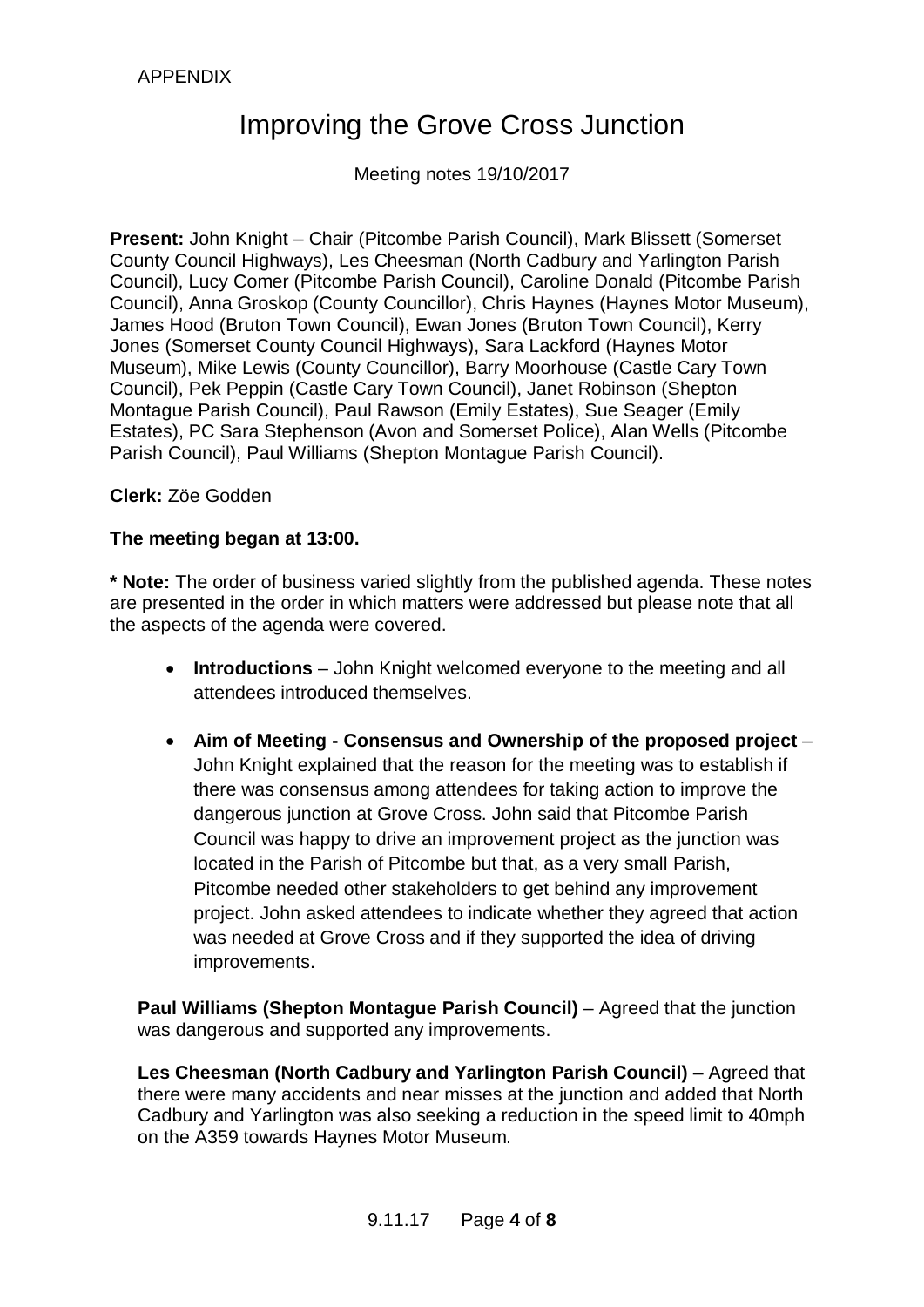# APPENDIX

# Improving the Grove Cross Junction

Meeting notes 19/10/2017

**Present:** John Knight – Chair (Pitcombe Parish Council), Mark Blissett (Somerset County Council Highways), Les Cheesman (North Cadbury and Yarlington Parish Council), Lucy Comer (Pitcombe Parish Council), Caroline Donald (Pitcombe Parish Council), Anna Groskop (County Councillor), Chris Haynes (Haynes Motor Museum), James Hood (Bruton Town Council), Ewan Jones (Bruton Town Council), Kerry Jones (Somerset County Council Highways), Sara Lackford (Haynes Motor Museum), Mike Lewis (County Councillor), Barry Moorhouse (Castle Cary Town Council), Pek Peppin (Castle Cary Town Council), Janet Robinson (Shepton Montague Parish Council), Paul Rawson (Emily Estates), Sue Seager (Emily Estates), PC Sara Stephenson (Avon and Somerset Police), Alan Wells (Pitcombe Parish Council), Paul Williams (Shepton Montague Parish Council).

**Clerk:** Zöe Godden

## **The meeting began at 13:00.**

**\* Note:** The order of business varied slightly from the published agenda. These notes are presented in the order in which matters were addressed but please note that all the aspects of the agenda were covered.

- · **Introductions** John Knight welcomed everyone to the meeting and all attendees introduced themselves.
- · **Aim of Meeting Consensus and Ownership of the proposed project** John Knight explained that the reason for the meeting was to establish if there was consensus among attendees for taking action to improve the dangerous junction at Grove Cross. John said that Pitcombe Parish Council was happy to drive an improvement project as the junction was located in the Parish of Pitcombe but that, as a very small Parish, Pitcombe needed other stakeholders to get behind any improvement project. John asked attendees to indicate whether they agreed that action was needed at Grove Cross and if they supported the idea of driving improvements.

**Paul Williams (Shepton Montague Parish Council)** – Agreed that the junction was dangerous and supported any improvements.

**Les Cheesman (North Cadbury and Yarlington Parish Council)** – Agreed that there were many accidents and near misses at the junction and added that North Cadbury and Yarlington was also seeking a reduction in the speed limit to 40mph on the A359 towards Haynes Motor Museum.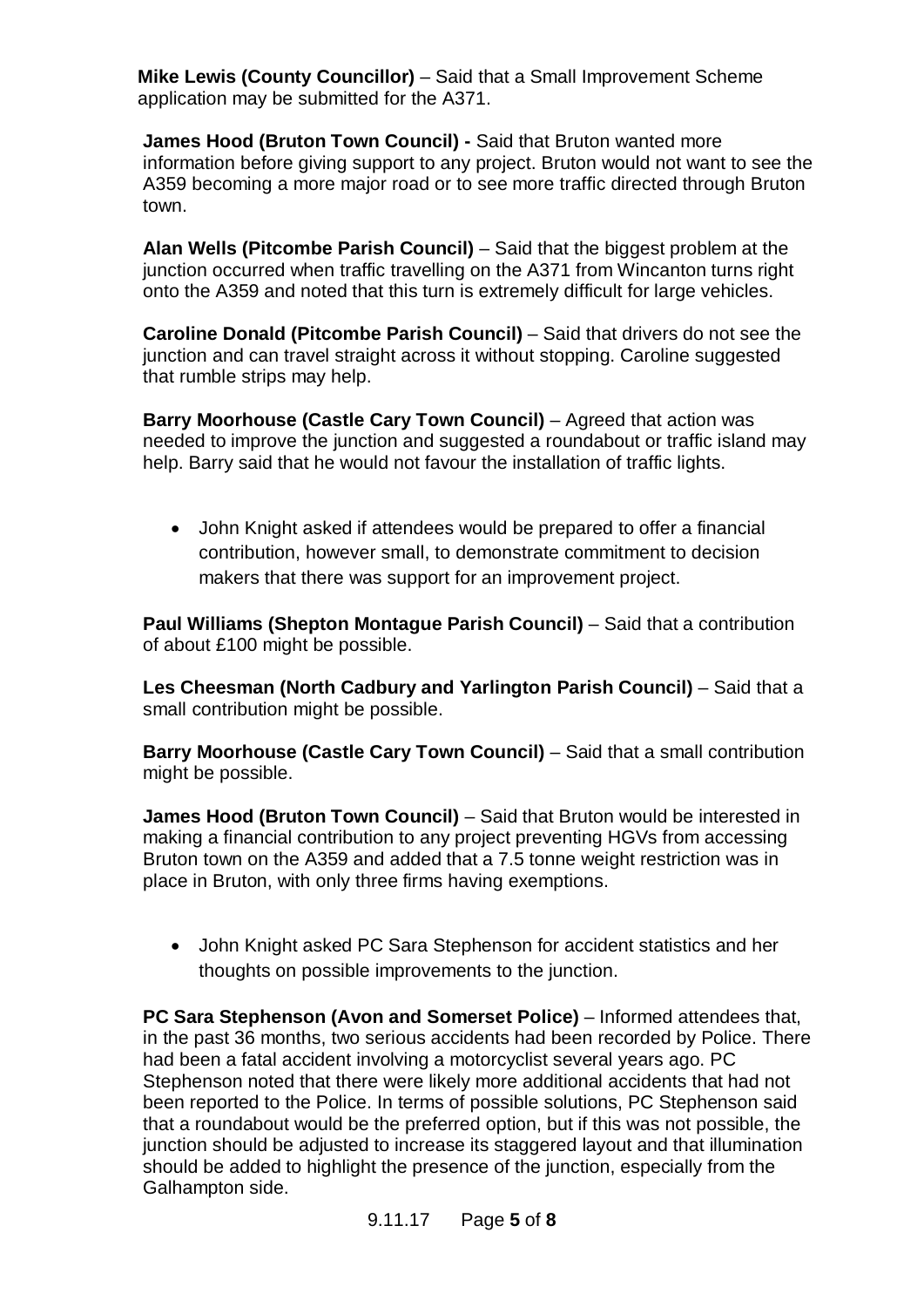**Mike Lewis (County Councillor)** – Said that a Small Improvement Scheme application may be submitted for the A371.

**James Hood (Bruton Town Council) -** Said that Bruton wanted more information before giving support to any project. Bruton would not want to see the A359 becoming a more major road or to see more traffic directed through Bruton town.

**Alan Wells (Pitcombe Parish Council)** – Said that the biggest problem at the junction occurred when traffic travelling on the A371 from Wincanton turns right onto the A359 and noted that this turn is extremely difficult for large vehicles.

**Caroline Donald (Pitcombe Parish Council)** – Said that drivers do not see the junction and can travel straight across it without stopping. Caroline suggested that rumble strips may help.

**Barry Moorhouse (Castle Cary Town Council)** – Agreed that action was needed to improve the junction and suggested a roundabout or traffic island may help. Barry said that he would not favour the installation of traffic lights.

· John Knight asked if attendees would be prepared to offer a financial contribution, however small, to demonstrate commitment to decision makers that there was support for an improvement project.

**Paul Williams (Shepton Montague Parish Council)** – Said that a contribution of about £100 might be possible.

**Les Cheesman (North Cadbury and Yarlington Parish Council)** – Said that a small contribution might be possible.

**Barry Moorhouse (Castle Cary Town Council)** – Said that a small contribution might be possible.

**James Hood (Bruton Town Council)** – Said that Bruton would be interested in making a financial contribution to any project preventing HGVs from accessing Bruton town on the A359 and added that a 7.5 tonne weight restriction was in place in Bruton, with only three firms having exemptions.

· John Knight asked PC Sara Stephenson for accident statistics and her thoughts on possible improvements to the junction.

**PC Sara Stephenson (Avon and Somerset Police)** – Informed attendees that, in the past 36 months, two serious accidents had been recorded by Police. There had been a fatal accident involving a motorcyclist several years ago. PC Stephenson noted that there were likely more additional accidents that had not been reported to the Police. In terms of possible solutions, PC Stephenson said that a roundabout would be the preferred option, but if this was not possible, the junction should be adjusted to increase its staggered layout and that illumination should be added to highlight the presence of the junction, especially from the Galhampton side.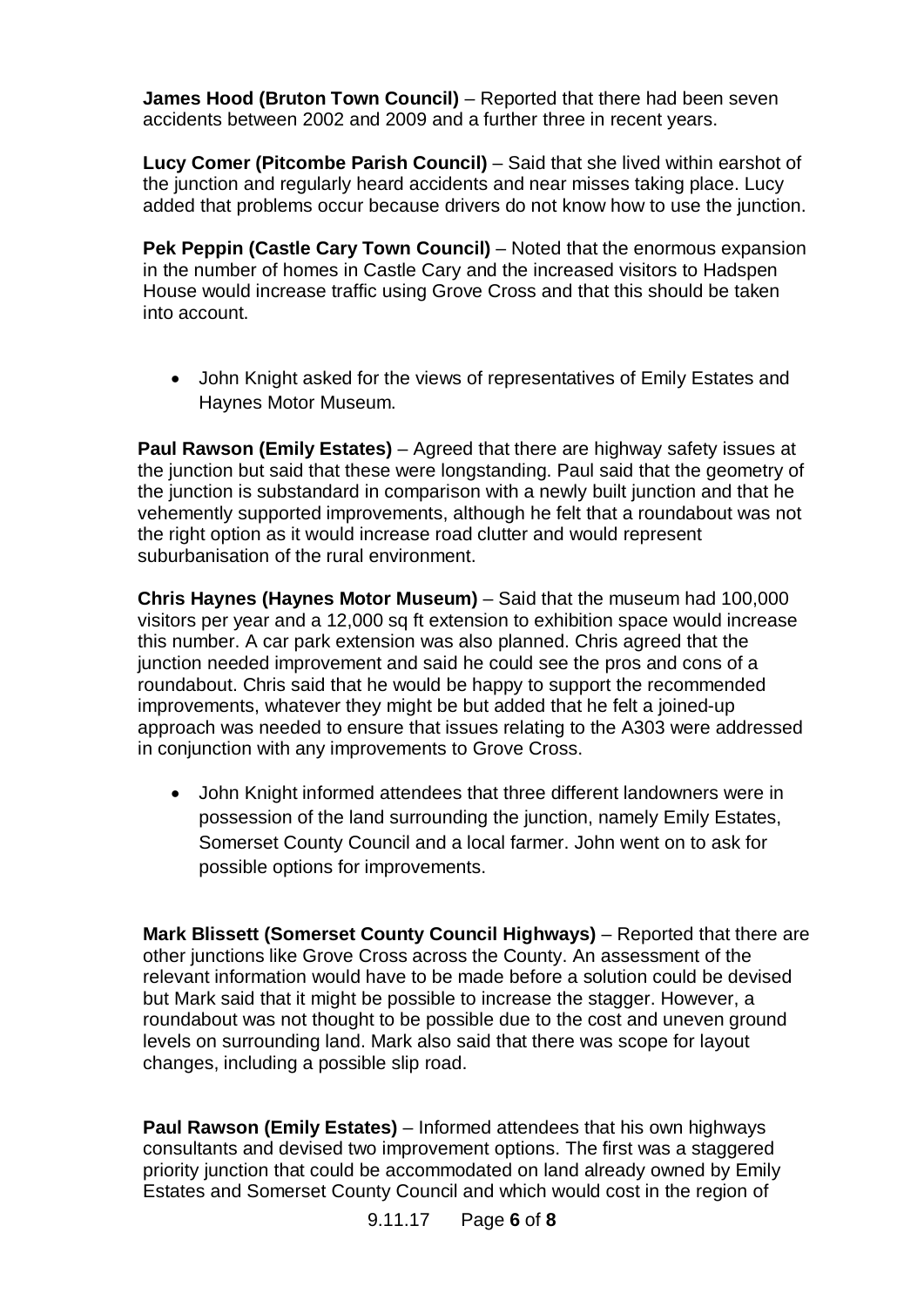**James Hood (Bruton Town Council)** – Reported that there had been seven accidents between 2002 and 2009 and a further three in recent years.

**Lucy Comer (Pitcombe Parish Council)** – Said that she lived within earshot of the junction and regularly heard accidents and near misses taking place. Lucy added that problems occur because drivers do not know how to use the junction.

**Pek Peppin (Castle Cary Town Council)** – Noted that the enormous expansion in the number of homes in Castle Cary and the increased visitors to Hadspen House would increase traffic using Grove Cross and that this should be taken into account.

· John Knight asked for the views of representatives of Emily Estates and Haynes Motor Museum.

**Paul Rawson (Emily Estates)** – Agreed that there are highway safety issues at the junction but said that these were longstanding. Paul said that the geometry of the junction is substandard in comparison with a newly built junction and that he vehemently supported improvements, although he felt that a roundabout was not the right option as it would increase road clutter and would represent suburbanisation of the rural environment.

**Chris Haynes (Haynes Motor Museum)** – Said that the museum had 100,000 visitors per year and a 12,000 sq ft extension to exhibition space would increase this number. A car park extension was also planned. Chris agreed that the junction needed improvement and said he could see the pros and cons of a roundabout. Chris said that he would be happy to support the recommended improvements, whatever they might be but added that he felt a joined-up approach was needed to ensure that issues relating to the A303 were addressed in conjunction with any improvements to Grove Cross.

· John Knight informed attendees that three different landowners were in possession of the land surrounding the junction, namely Emily Estates, Somerset County Council and a local farmer. John went on to ask for possible options for improvements.

**Mark Blissett (Somerset County Council Highways)** – Reported that there are other junctions like Grove Cross across the County. An assessment of the relevant information would have to be made before a solution could be devised but Mark said that it might be possible to increase the stagger. However, a roundabout was not thought to be possible due to the cost and uneven ground levels on surrounding land. Mark also said that there was scope for layout changes, including a possible slip road.

**Paul Rawson (Emily Estates)** – Informed attendees that his own highways consultants and devised two improvement options. The first was a staggered priority junction that could be accommodated on land already owned by Emily Estates and Somerset County Council and which would cost in the region of

9.11.17 Page **6** of **8**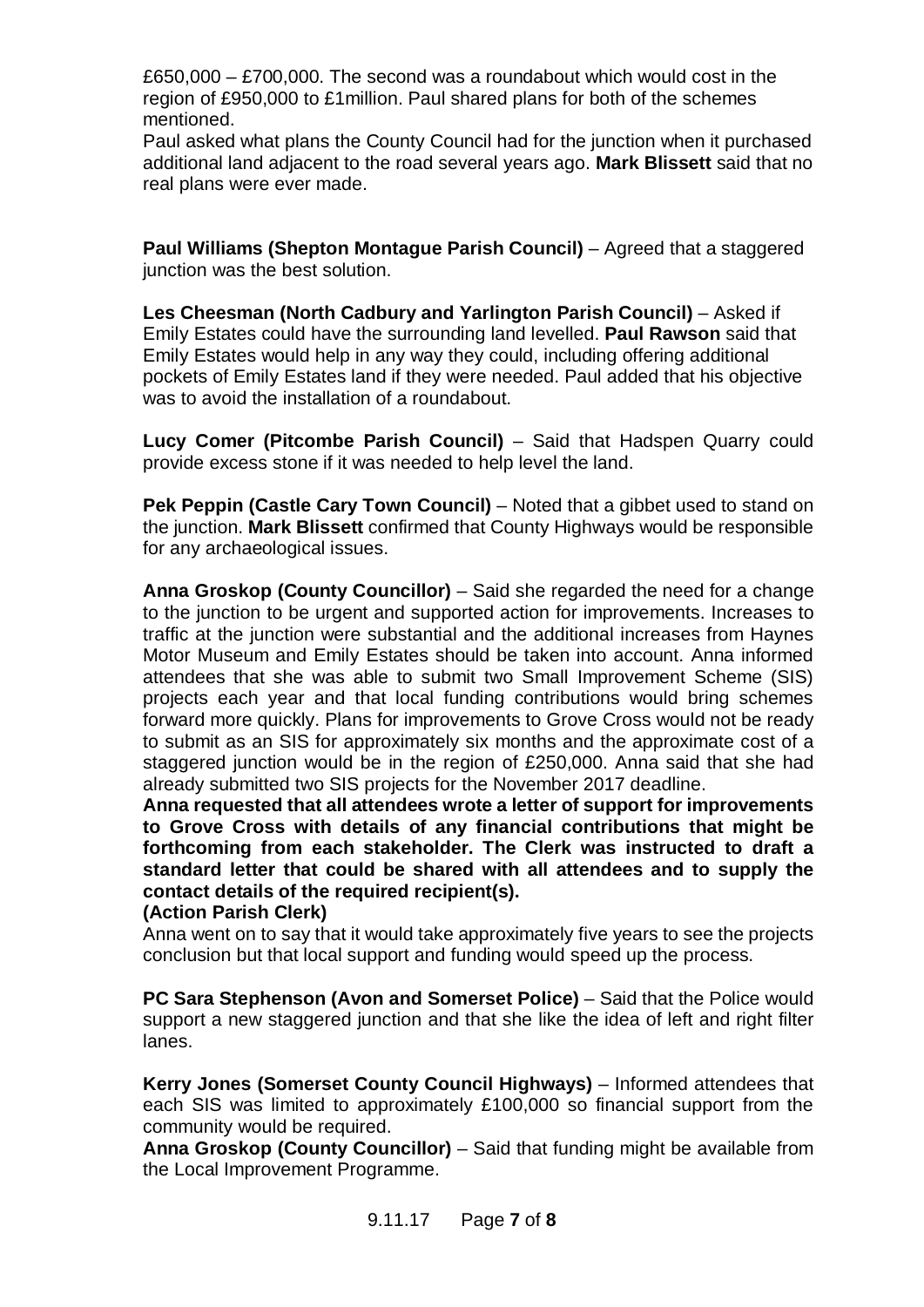£650,000 – £700,000. The second was a roundabout which would cost in the region of £950,000 to £1million. Paul shared plans for both of the schemes mentioned.

Paul asked what plans the County Council had for the junction when it purchased additional land adjacent to the road several years ago. **Mark Blissett** said that no real plans were ever made.

**Paul Williams (Shepton Montague Parish Council)** – Agreed that a staggered junction was the best solution.

**Les Cheesman (North Cadbury and Yarlington Parish Council)** – Asked if Emily Estates could have the surrounding land levelled. **Paul Rawson** said that Emily Estates would help in any way they could, including offering additional pockets of Emily Estates land if they were needed. Paul added that his objective was to avoid the installation of a roundabout.

**Lucy Comer (Pitcombe Parish Council)** – Said that Hadspen Quarry could provide excess stone if it was needed to help level the land.

**Pek Peppin (Castle Cary Town Council)** – Noted that a gibbet used to stand on the junction. **Mark Blissett** confirmed that County Highways would be responsible for any archaeological issues.

**Anna Groskop (County Councillor)** – Said she regarded the need for a change to the junction to be urgent and supported action for improvements. Increases to traffic at the junction were substantial and the additional increases from Haynes Motor Museum and Emily Estates should be taken into account. Anna informed attendees that she was able to submit two Small Improvement Scheme (SIS) projects each year and that local funding contributions would bring schemes forward more quickly. Plans for improvements to Grove Cross would not be ready to submit as an SIS for approximately six months and the approximate cost of a staggered junction would be in the region of £250,000. Anna said that she had already submitted two SIS projects for the November 2017 deadline.

**Anna requested that all attendees wrote a letter of support for improvements to Grove Cross with details of any financial contributions that might be forthcoming from each stakeholder. The Clerk was instructed to draft a standard letter that could be shared with all attendees and to supply the contact details of the required recipient(s).**

#### **(Action Parish Clerk)**

Anna went on to say that it would take approximately five years to see the projects conclusion but that local support and funding would speed up the process.

**PC Sara Stephenson (Avon and Somerset Police)** – Said that the Police would support a new staggered junction and that she like the idea of left and right filter lanes.

**Kerry Jones (Somerset County Council Highways)** – Informed attendees that each SIS was limited to approximately £100,000 so financial support from the community would be required.

**Anna Groskop (County Councillor)** – Said that funding might be available from the Local Improvement Programme.